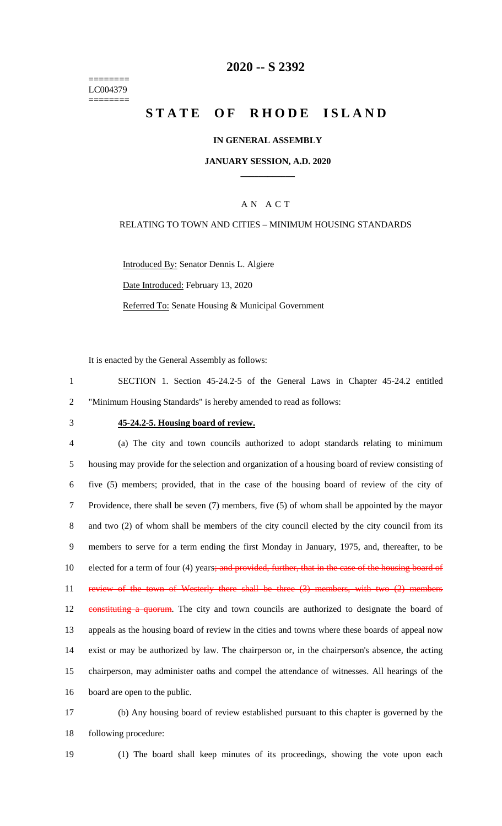======== LC004379 ========

## **2020 -- S 2392**

# **STATE OF RHODE ISLAND**

## **IN GENERAL ASSEMBLY**

## **JANUARY SESSION, A.D. 2020 \_\_\_\_\_\_\_\_\_\_\_\_**

## A N A C T

## RELATING TO TOWN AND CITIES – MINIMUM HOUSING STANDARDS

Introduced By: Senator Dennis L. Algiere Date Introduced: February 13, 2020 Referred To: Senate Housing & Municipal Government

It is enacted by the General Assembly as follows:

| SECTION 1. Section 45-24.2-5 of the General Laws in Chapter 45-24.2 entitled |  |  |  |  |  |  |  |  |  |  |  |
|------------------------------------------------------------------------------|--|--|--|--|--|--|--|--|--|--|--|
| "Minimum Housing Standards" is hereby amended to read as follows:            |  |  |  |  |  |  |  |  |  |  |  |

## 3 **45-24.2-5. Housing board of review.**

 (a) The city and town councils authorized to adopt standards relating to minimum housing may provide for the selection and organization of a housing board of review consisting of five (5) members; provided, that in the case of the housing board of review of the city of Providence, there shall be seven (7) members, five (5) of whom shall be appointed by the mayor and two (2) of whom shall be members of the city council elected by the city council from its members to serve for a term ending the first Monday in January, 1975, and, thereafter, to be 10 elected for a term of four (4) years; and provided, further, that in the case of the housing board of review of the town of Westerly there shall be three (3) members, with two (2) members 12 constituting a quorum. The city and town councils are authorized to designate the board of appeals as the housing board of review in the cities and towns where these boards of appeal now exist or may be authorized by law. The chairperson or, in the chairperson's absence, the acting chairperson, may administer oaths and compel the attendance of witnesses. All hearings of the board are open to the public.

17 (b) Any housing board of review established pursuant to this chapter is governed by the 18 following procedure:

19 (1) The board shall keep minutes of its proceedings, showing the vote upon each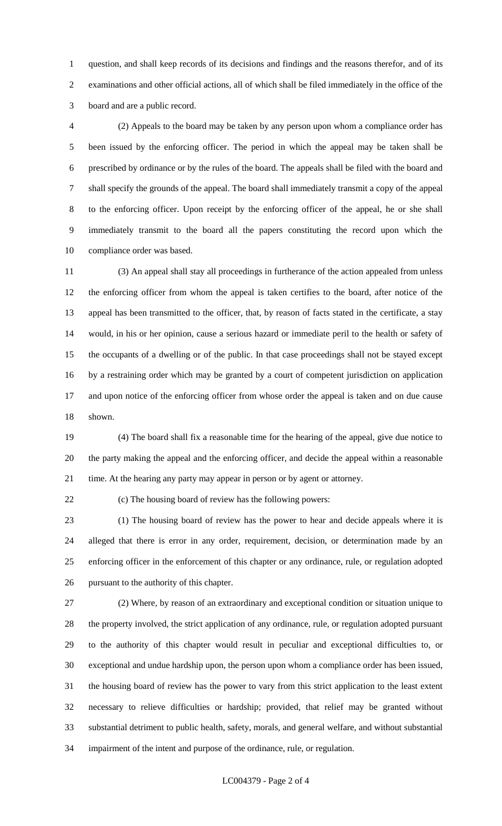question, and shall keep records of its decisions and findings and the reasons therefor, and of its examinations and other official actions, all of which shall be filed immediately in the office of the board and are a public record.

 (2) Appeals to the board may be taken by any person upon whom a compliance order has been issued by the enforcing officer. The period in which the appeal may be taken shall be prescribed by ordinance or by the rules of the board. The appeals shall be filed with the board and shall specify the grounds of the appeal. The board shall immediately transmit a copy of the appeal to the enforcing officer. Upon receipt by the enforcing officer of the appeal, he or she shall immediately transmit to the board all the papers constituting the record upon which the compliance order was based.

 (3) An appeal shall stay all proceedings in furtherance of the action appealed from unless the enforcing officer from whom the appeal is taken certifies to the board, after notice of the appeal has been transmitted to the officer, that, by reason of facts stated in the certificate, a stay would, in his or her opinion, cause a serious hazard or immediate peril to the health or safety of the occupants of a dwelling or of the public. In that case proceedings shall not be stayed except by a restraining order which may be granted by a court of competent jurisdiction on application and upon notice of the enforcing officer from whose order the appeal is taken and on due cause shown.

 (4) The board shall fix a reasonable time for the hearing of the appeal, give due notice to the party making the appeal and the enforcing officer, and decide the appeal within a reasonable time. At the hearing any party may appear in person or by agent or attorney.

(c) The housing board of review has the following powers:

 (1) The housing board of review has the power to hear and decide appeals where it is alleged that there is error in any order, requirement, decision, or determination made by an enforcing officer in the enforcement of this chapter or any ordinance, rule, or regulation adopted pursuant to the authority of this chapter.

 (2) Where, by reason of an extraordinary and exceptional condition or situation unique to the property involved, the strict application of any ordinance, rule, or regulation adopted pursuant to the authority of this chapter would result in peculiar and exceptional difficulties to, or exceptional and undue hardship upon, the person upon whom a compliance order has been issued, the housing board of review has the power to vary from this strict application to the least extent necessary to relieve difficulties or hardship; provided, that relief may be granted without substantial detriment to public health, safety, morals, and general welfare, and without substantial impairment of the intent and purpose of the ordinance, rule, or regulation.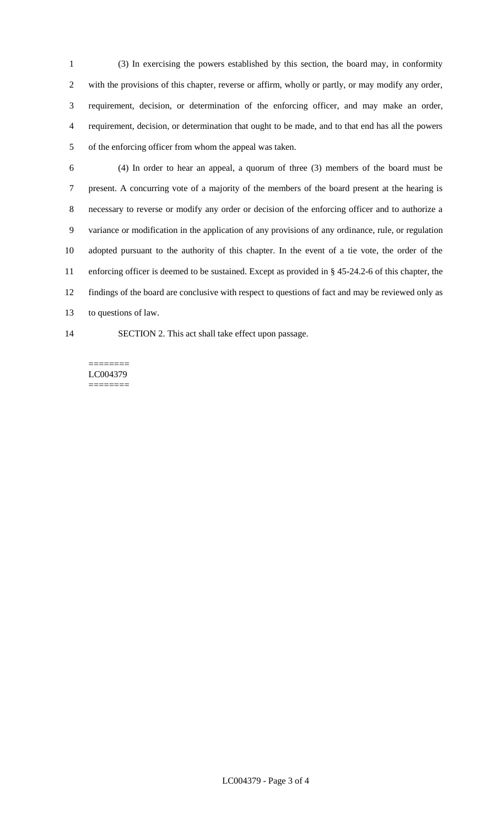(3) In exercising the powers established by this section, the board may, in conformity with the provisions of this chapter, reverse or affirm, wholly or partly, or may modify any order, requirement, decision, or determination of the enforcing officer, and may make an order, requirement, decision, or determination that ought to be made, and to that end has all the powers of the enforcing officer from whom the appeal was taken.

- (4) In order to hear an appeal, a quorum of three (3) members of the board must be present. A concurring vote of a majority of the members of the board present at the hearing is necessary to reverse or modify any order or decision of the enforcing officer and to authorize a variance or modification in the application of any provisions of any ordinance, rule, or regulation adopted pursuant to the authority of this chapter. In the event of a tie vote, the order of the enforcing officer is deemed to be sustained. Except as provided in § 45-24.2-6 of this chapter, the findings of the board are conclusive with respect to questions of fact and may be reviewed only as to questions of law.
- 
- SECTION 2. This act shall take effect upon passage.

#### ======== LC004379 ========